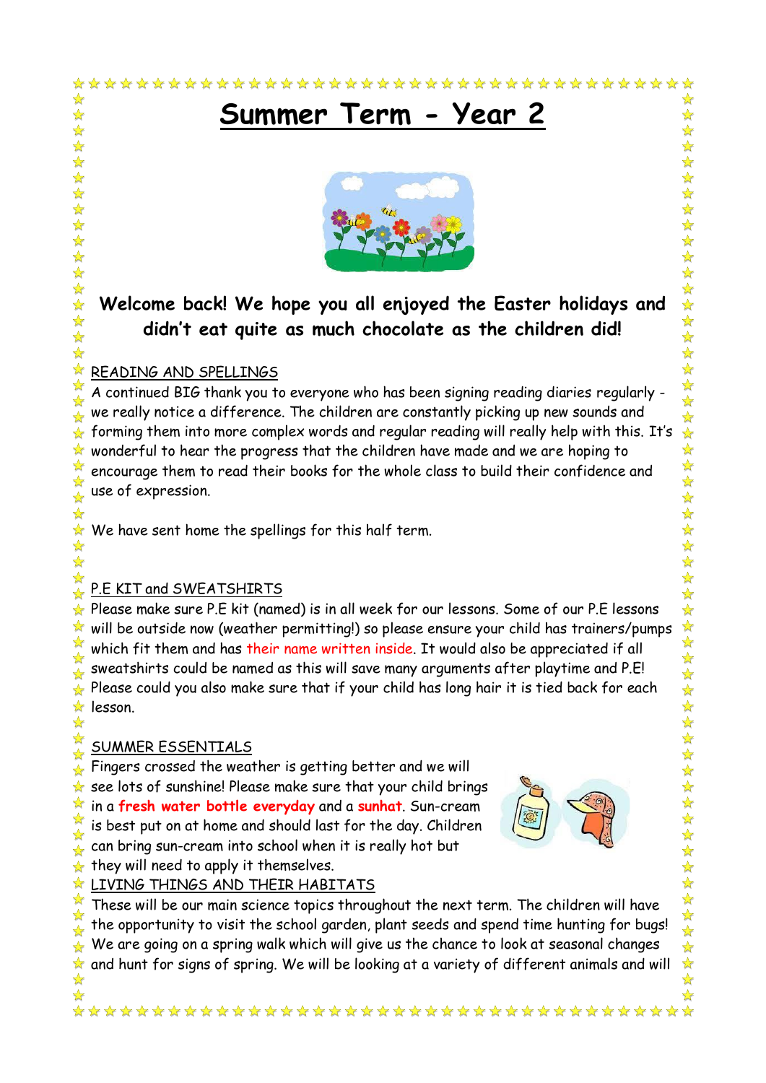# **Summer Term - Year 2**



# **Welcome back! We hope you all enjoyed the Easter holidays and didn't eat quite as much chocolate as the children did!**

#### $\frac{1}{\sqrt{2}}$ READING AND SPELLINGS

 $\frac{1}{\sqrt{2}}$ 

 $\frac{1}{\sqrt{2}}$ 

 $\frac{1}{2}$ 

 $\frac{1}{\sqrt{2}}$ 

外外外外外外外

 $\frac{1}{\sqrt{2}}$  $\frac{1}{2}$ 琴琴:  $\frac{1}{\sqrt{2}}$ 

 $\frac{1}{\sqrt{2}}$ 

 $\frac{1}{\sqrt{2}}$ 

 $\rightarrow$ 

☆ A continued BIG thank you to everyone who has been signing reading diaries regularly -  $\frac{1}{2}$ we really notice a difference. The children are constantly picking up new sounds and  $\frac{1}{\sqrt{2}}$ forming them into more complex words and regular reading will really help with this. It's ☆ wonderful to hear the progress that the children have made and we are hoping to ☆  $\sqrt{2}$ encourage them to read their books for the whole class to build their confidence and use of expression.  $\frac{1}{\sqrt{2}}$ 

 $\star$  We have sent home the spellings for this half term.  $\frac{1}{\sqrt{2}}$ 

#### ☆ P.E KIT and SWEATSHIRTS  $\rightarrow$

 $\star$  Please make sure P.E kit (named) is in all week for our lessons. Some of our P.E lessons will be outside now (weather permitting!) so please ensure your child has trainers/pumps  $\frac{1}{2}$ which fit them and has their name written inside. It would also be appreciated if all ☆ sweatshirts could be named as this will save many arguments after playtime and P.E!  $\frac{1}{\sqrt{2}}$ Please could you also make sure that if your child has long hair it is tied back for each ☆  $\frac{1}{N}$  lesson. ☆

## $\frac{1}{\sqrt{2}}$ SUMMER ESSENTIALS

 $\frac{1}{2}$ Fingers crossed the weather is getting better and we will see lots of sunshine! Please make sure that your child brings ✿ in a **fresh water bottle everyday** and a **sunhat**. Sun-cream ☆ is best put on at home and should last for the day. Children  $\frac{\lambda}{\lambda}$ can bring sun-cream into school when it is really hot but  $\frac{1}{\sqrt{2}}$ they will need to apply it themselves. ☆



**A LIVING THINGS AND THEIR HABITATS** 

 $\frac{1}{2}$ These will be our main science topics throughout the next term. The children will have the opportunity to visit the school garden, plant seeds and spend time hunting for bugs! ☆  $\stackrel{\sim}{\star}$  We are going on a spring walk which will give us the chance to look at seasonal changes  $\star$  and hunt for signs of spring. We will be looking at a variety of different animals and will  $\frac{1}{M}$